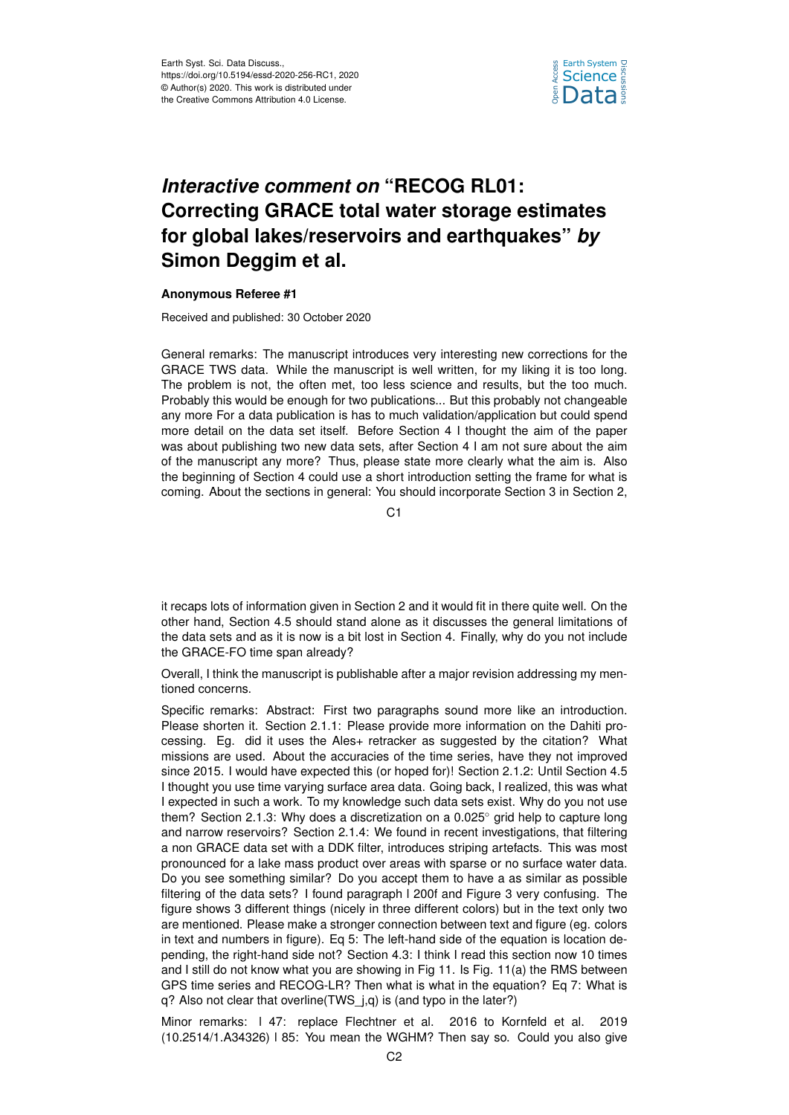

## *Interactive comment on* **"RECOG RL01: Correcting GRACE total water storage estimates for global lakes/reservoirs and earthquakes"** *by* **Simon Deggim et al.**

## **Anonymous Referee #1**

Received and published: 30 October 2020

General remarks: The manuscript introduces very interesting new corrections for the GRACE TWS data. While the manuscript is well written, for my liking it is too long. The problem is not, the often met, too less science and results, but the too much. Probably this would be enough for two publications... But this probably not changeable any more For a data publication is has to much validation/application but could spend more detail on the data set itself. Before Section 4 I thought the aim of the paper was about publishing two new data sets, after Section 4 I am not sure about the aim of the manuscript any more? Thus, please state more clearly what the aim is. Also the beginning of Section 4 could use a short introduction setting the frame for what is coming. About the sections in general: You should incorporate Section 3 in Section 2,

 $C<sub>1</sub>$ 

it recaps lots of information given in Section 2 and it would fit in there quite well. On the other hand, Section 4.5 should stand alone as it discusses the general limitations of the data sets and as it is now is a bit lost in Section 4. Finally, why do you not include the GRACE-FO time span already?

Overall, I think the manuscript is publishable after a major revision addressing my mentioned concerns.

Specific remarks: Abstract: First two paragraphs sound more like an introduction. Please shorten it. Section 2.1.1: Please provide more information on the Dahiti processing. Eg. did it uses the Ales+ retracker as suggested by the citation? What missions are used. About the accuracies of the time series, have they not improved since 2015. I would have expected this (or hoped for)! Section 2.1.2: Until Section 4.5 I thought you use time varying surface area data. Going back, I realized, this was what I expected in such a work. To my knowledge such data sets exist. Why do you not use them? Section 2.1.3: Why does a discretization on a 0.025◦ grid help to capture long and narrow reservoirs? Section 2.1.4: We found in recent investigations, that filtering a non GRACE data set with a DDK filter, introduces striping artefacts. This was most pronounced for a lake mass product over areas with sparse or no surface water data. Do you see something similar? Do you accept them to have a as similar as possible filtering of the data sets? I found paragraph l 200f and Figure 3 very confusing. The figure shows 3 different things (nicely in three different colors) but in the text only two are mentioned. Please make a stronger connection between text and figure (eg. colors in text and numbers in figure). Eq 5: The left-hand side of the equation is location depending, the right-hand side not? Section 4.3: I think I read this section now 10 times and I still do not know what you are showing in Fig 11. Is Fig. 11(a) the RMS between GPS time series and RECOG-LR? Then what is what in the equation? Eq 7: What is q? Also not clear that overline(TWS\_j,q) is (and typo in the later?)

Minor remarks: l 47: replace Flechtner et al. 2016 to Kornfeld et al. 2019 (10.2514/1.A34326) l 85: You mean the WGHM? Then say so. Could you also give